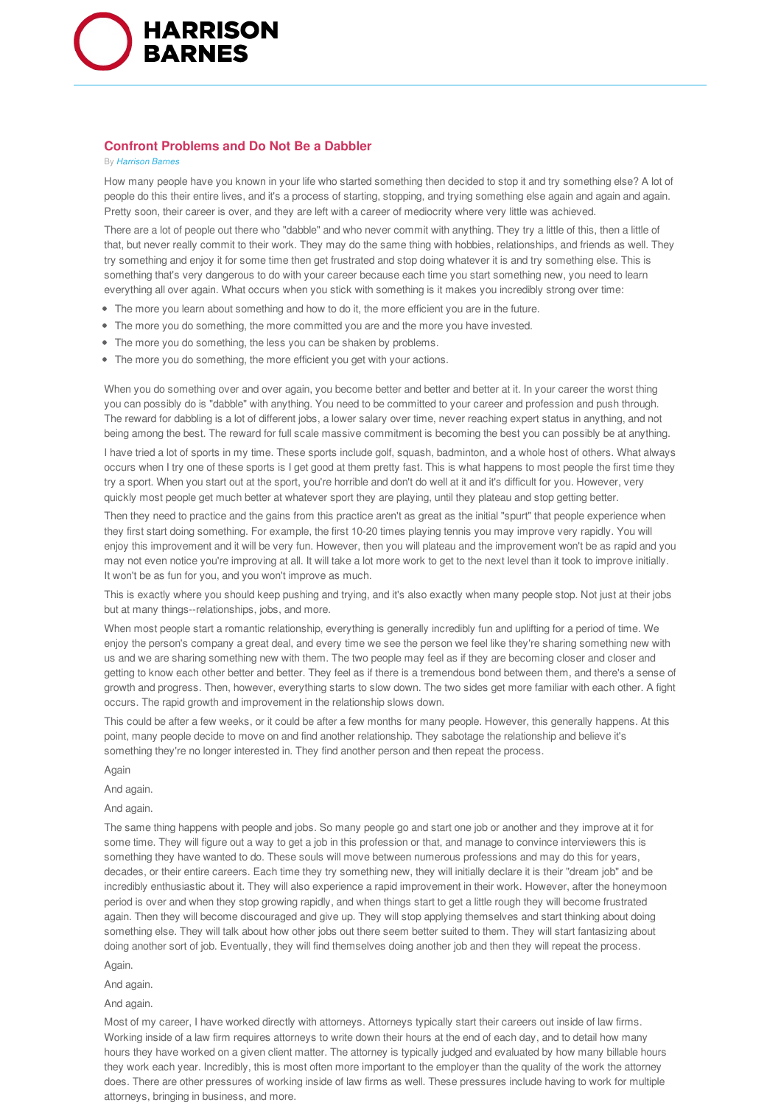

## **Confront Problems and Do Not Be a Dabbler**

## By *Harrison Barnes*

How many people have you known in your life who started something then decided to stop it and try something else? A lot of people do this their entire lives, and it's a process of starting, stopping, and trying something else again and again and again. Pretty soon, their career is over, and they are left with a career of mediocrity where very little was achieved.

There are a lot of people out there who "dabble" and who never commit with anything. They try a little of this, then a little of that, but never really commit to their work. They may do the same thing with hobbies, relationships, and friends as well. They try something and enjoy it for some time then get frustrated and stop doing whatever it is and try something else. This is something that's very dangerous to do with your career because each time you start something new, you need to learn everything all over again. What occurs when you stick with something is it makes you incredibly strong over time:

- The more you learn about something and how to do it, the more efficient you are in the future.
- The more you do something, the more committed you are and the more you have invested.
- The more you do something, the less you can be shaken by problems.
- The more you do something, the more efficient you get with your actions.

When you do something over and over again, you become better and better and better at it. In your career the worst thing you can possibly do is "dabble" with anything. You need to be committed to your career and profession and push through. The reward for dabbling is a lot of different jobs, a lower salary over time, never reaching expert status in anything, and not being among the best. The reward for full scale massive commitment is becoming the best you can possibly be at anything.

I have tried a lot of sports in my time. These sports include golf, squash, badminton, and a whole host of others. What always occurs when I try one of these sports is I get good at them pretty fast. This is what happens to most people the first time they try a sport. When you start out at the sport, you're horrible and don't do well at it and it's difficult for you. However, very quickly most people get much better at whatever sport they are playing, until they plateau and stop getting better.

Then they need to practice and the gains from this practice aren't as great as the initial "spurt" that people experience when they first start doing something. For example, the first 10-20 times playing tennis you may improve very rapidly. You will enjoy this improvement and it will be very fun. However, then you will plateau and the improvement won't be as rapid and you may not even notice you're improving at all. It will take a lot more work to get to the next level than it took to improve initially. It won't be as fun for you, and you won't improve as much.

This is exactly where you should keep pushing and trying, and it's also exactly when many people stop. Not just at their jobs but at many things--relationships, jobs, and more.

When most people start a romantic relationship, everything is generally incredibly fun and uplifting for a period of time. We enjoy the person's company a great deal, and every time we see the person we feel like they're sharing something new with us and we are sharing something new with them. The two people may feel as if they are becoming closer and closer and getting to know each other better and better. They feel as if there is a tremendous bond between them, and there's a sense of growth and progress. Then, however, everything starts to slow down. The two sides get more familiar with each other. A fight occurs. The rapid growth and improvement in the relationship slows down.

This could be after a few weeks, or it could be after a few months for many people. However, this generally happens. At this point, many people decide to move on and find another relationship. They sabotage the relationship and believe it's something they're no longer interested in. They find another person and then repeat the process.

Again

And again.

And again.

The same thing happens with people and jobs. So many people go and start one job or another and they improve at it for some time. They will figure out a way to get a job in this profession or that, and manage to convince interviewers this is something they have wanted to do. These souls will move between numerous professions and may do this for years, decades, or their entire careers. Each time they try something new, they will initially declare it is their "dream job" and be incredibly enthusiastic about it. They will also experience a rapid improvement in their work. However, after the honeymoon period is over and when they stop growing rapidly, and when things start to get a little rough they will become frustrated again. Then they will become discouraged and give up. They will stop applying themselves and start thinking about doing something else. They will talk about how other jobs out there seem better suited to them. They will start fantasizing about doing another sort of job. Eventually, they will find themselves doing another job and then they will repeat the process.

Again.

And again.

And again.

Most of my career, I have worked directly with attorneys. Attorneys typically start their careers out inside of law firms. Working inside of a law firm requires attorneys to write down their hours at the end of each day, and to detail how many hours they have worked on a given client matter. The attorney is typically judged and evaluated by how many billable hours they work each year. Incredibly, this is most often more important to the employer than the quality of the work the attorney does. There are other pressures of working inside of law firms as well. These pressures include having to work for multiple attorneys, bringing in business, and more.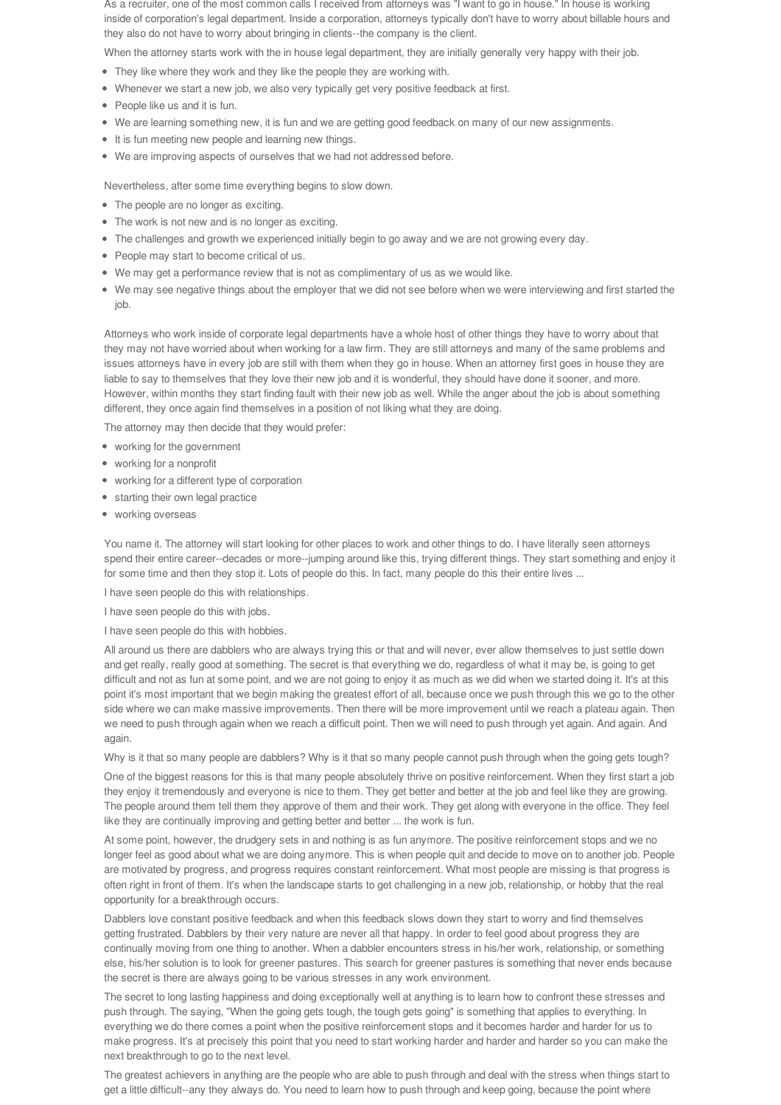As a recruiter, one of the most common calls I received from attorneys was "I want to go in house." In house is working inside of corporation's legal department. Inside a corporation, attorneys typically don't have to worry about billable hours and they also do not have to worry about bringing in clients--the company is the client.

When the attorney starts work with the in house legal department, they are initially generally very happy with their job.

- They like where they work and they like the people they are working with.
- Whenever we start a new job, we also very typically get very positive feedback at first.
- People like us and it is fun.
- We are learning something new, it is fun and we are getting good feedback on many of our new assignments.
- It is fun meeting new people and learning new things.
- We are improving aspects of ourselves that we had not addressed before.

Nevertheless, after some time everything begins to slow down.

- The people are no longer as exciting.
- The work is not new and is no longer as exciting.
- The challenges and growth we experienced initially begin to go away and we are not growing every day.
- People may start to become critical of us.
- We may get a performance review that is not as complimentary of us as we would like.
- We may see negative things about the employer that we did not see before when we were interviewing and first started the job.

Attorneys who work inside of corporate legal departments have a whole host of other things they have to worry about that they may not have worried about when working for a law firm. They are still attorneys and many of the same problems and issues attorneys have in every job are still with them when they go in house. When an attorney first goes in house they are liable to say to themselves that they love their new job and it is wonderful, they should have done it sooner, and more. However, within months they start finding fault with their new job as well. While the anger about the job is about something different, they once again find themselves in a position of not liking what they are doing.

The attorney may then decide that they would prefer:

- working for the government
- working for a nonprofit
- working for a different type of corporation
- starting their own legal practice
- working overseas

You name it. The attorney will start looking for other places to work and other things to do. I have literally seen attorneys spend their entire career--decades or more--jumping around like this, trying different things. They start something and enjoy it for some time and then they stop it. Lots of people do this. In fact, many people do this their entire lives ...

I have seen people do this with relationships.

I have seen people do this with jobs.

I have seen people do this with hobbies.

All around us there are dabblers who are always trying this or that and will never, ever allow themselves to just settle down and get really, really good at something. The secret is that everything we do, regardless of what it may be, is going to get difficult and not as fun at some point, and we are not going to enjoy it as much as we did when we started doing it. It's at this point it's most important that we begin making the greatest effort of all, because once we push through this we go to the other side where we can make massive improvements. Then there will be more improvement until we reach a plateau again. Then we need to push through again when we reach a difficult point. Then we will need to push through yet again. And again. And again.

Why is it that so many people are dabblers? Why is it that so many people cannot push through when the going gets tough?

One of the biggest reasons for this is that many people absolutely thrive on positive reinforcement. When they first start a job they enjoy it tremendously and everyone is nice to them. They get better and better at the job and feel like they are growing. The people around them tell them they approve of them and their work. They get along with everyone in the office. They feel like they are continually improving and getting better and better ... the work is fun.

At some point, however, the drudgery sets in and nothing is as fun anymore. The positive reinforcement stops and we no longer feel as good about what we are doing anymore. This is when people quit and decide to move on to another job. People are motivated by progress, and progress requires constant reinforcement. What most people are missing is that progress is often right in front of them. It's when the landscape starts to get challenging in a new job, relationship, or hobby that the real opportunity for a breakthrough occurs.

Dabblers love constant positive feedback and when this feedback slows down they start to worry and find themselves getting frustrated. Dabblers by their very nature are never all that happy. In order to feel good about progress they are continually moving from one thing to another. When a dabbler encounters stress in his/her work, relationship, or something else, his/her solution is to look for greener pastures. This search for greener pastures is something that never ends because the secret is there are always going to be various stresses in any work environment.

The secret to long lasting happiness and doing exceptionally well at anything is to learn how to confront these stresses and push through. The saying, "When the going gets tough, the tough gets going" is something that applies to everything. In everything we do there comes a point when the positive reinforcement stops and it becomes harder and harder for us to make progress. It's at precisely this point that you need to start working harder and harder and harder so you can make the next breakthrough to go to the next level.

The greatest achievers in anything are the people who are able to push through and deal with the stress when things start to get a little difficult--any they always do. You need to learn how to push through and keep going, because the point where